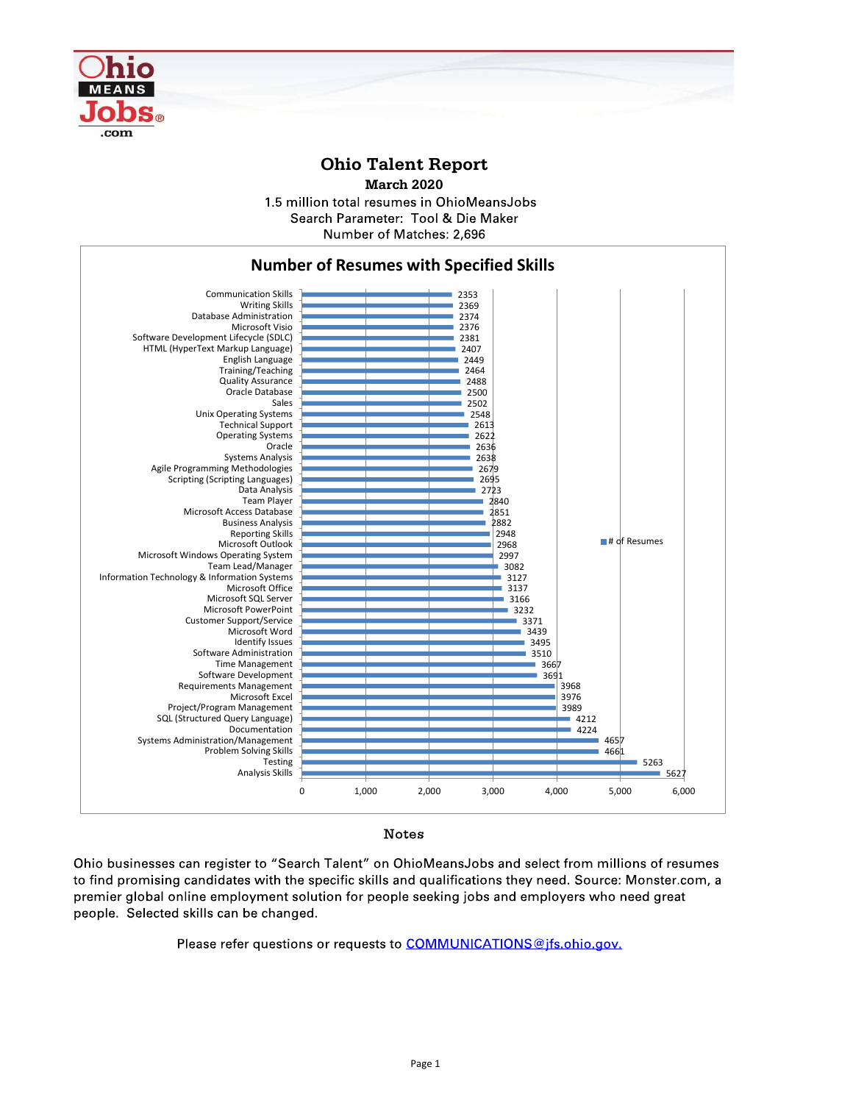

## Ohio Talent Report

March 2020

1.5 million total resumes in OhioMeansJobs Search Parameter: Tool & Die Maker Number of Matches: 2,696



## Notes

people. Selected skills can be changed.

Please refer questions or requests to COMMUNICATIONS@jfs.ohio.gov.